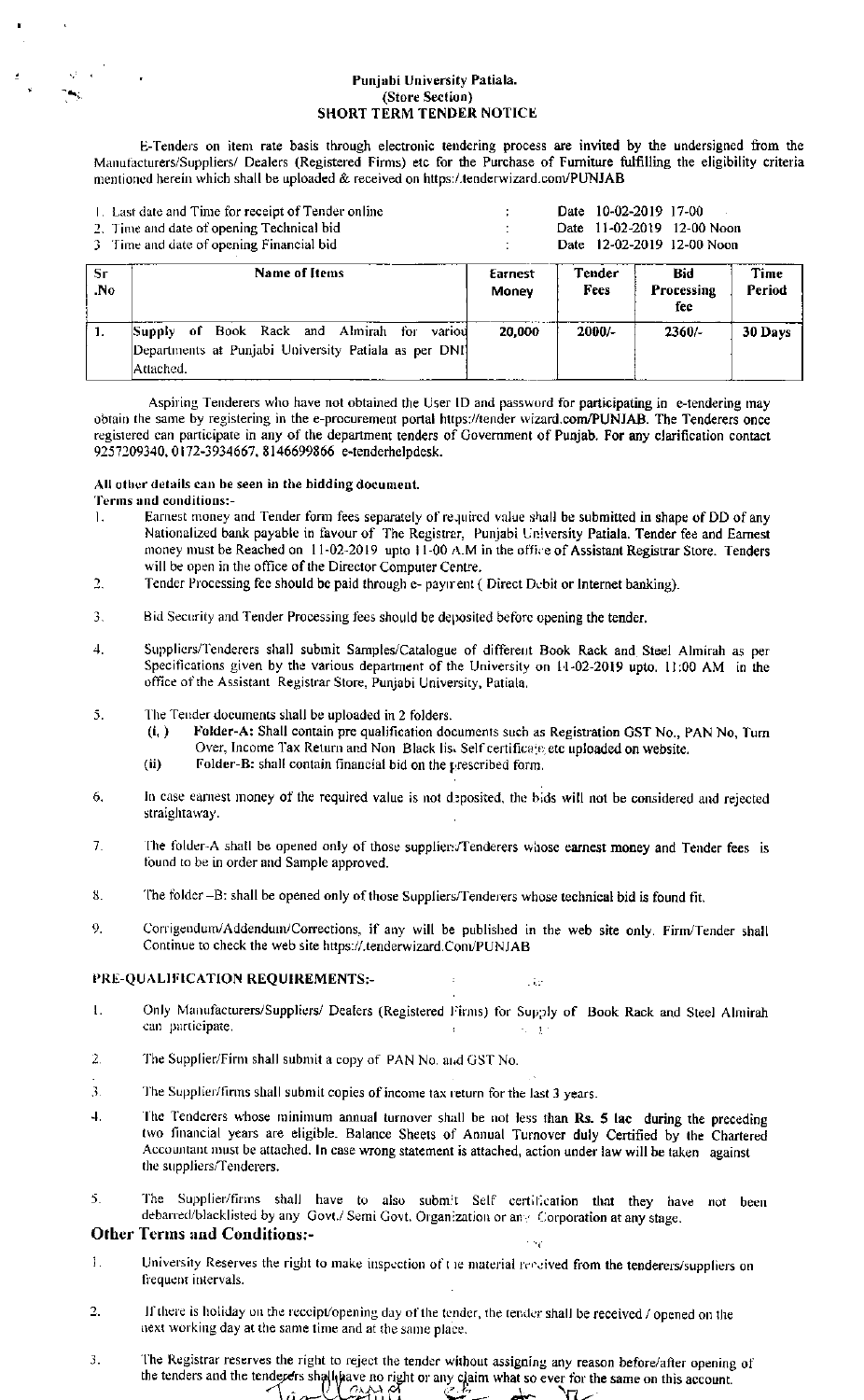### Punjabi University Patiala. (Store Section) **SHORT TERM TENDER NOTICE**

E-Tenders on item rate basis through electronic tendering process are invited by the undersigned from the Manufacturers/Suppliers/ Dealers (Registered Firms) etc for the Purchase of Furniture fulfilling the eligibility criteria mentioned herein which shall be uploaded & received on https:/.tenderwizard.com/PUNJAB

|                        | 1. Last date and Time for receipt of Tender online<br>2. Time and date of opening Technical bid<br>3 Time and date of opening Financial bid | 10-02-2019 17-00<br>Date<br>Date 11-02-2019 12-00 Noon<br>Date 12-02-2019 12-00 Noon |                |                          |                |
|------------------------|---------------------------------------------------------------------------------------------------------------------------------------------|--------------------------------------------------------------------------------------|----------------|--------------------------|----------------|
| Sr<br>$\overline{N}$ o | <b>Name of Items</b>                                                                                                                        | Earnest<br>Money                                                                     | Tender<br>Fees | Bid<br>Processing<br>fee | Time<br>Period |
| $\mathbf{1}$           | variou<br>Book Rack and Almirah for<br>of<br>Supply<br>Departments at Punjabi University Patiala as per DNI<br> Attached.                   | 20,000                                                                               | $2000/-$       | $2360/-$                 | 30 Days        |

Aspiring Tenderers who have not obtained the User ID and password for participating in e-tendering may obtain the same by registering in the e-procurement portal https://tender wizard.com/PUNJAB. The Tenderers once registered can participate in any of the department tenders of Government of Punjab. For any clarification contact 9257209340, 0172-3934667, 8146699866 e-tenderhelpdesk.

### All other details can be seen in the bidding document.

## Terms and conditions:-

- $\mathbf{L}$ Earnest money and Tender form fees separately of required value shall be submitted in shape of DD of any Nationalized bank payable in favour of The Registrer, Punjabi University Patiala. Tender fee and Earnest<br>money must be Reached on 11-02-2019 upto 11-00 A.M in the office of Assistant Registrar Store. Tenders will be open in the office of the Director Computer Centre.
- $\overline{2}$ Tender Processing fee should be paid through e- payment (Direct Debit or Internet banking).
- Bid Security and Tender Processing fees should be deposited before opening the tender.  $\mathbf{3}$ .
- Suppliers/Tenderers shall submit Samples/Catalogue of different Book Rack and Steel Almirah as per  $\overline{4}$ . Specifications given by the various department of the University on 14-02-2019 upto. 11:00 AM in the office of the Assistant Registrar Store, Punjabi University, Patiala.
- The Tender documents shall be uploaded in 2 folders. 5.
	- Folder-A: Shall contain pre qualification documents such as Registration GST No., PAN No, Turn  $(i, )$ Over, Income Tax Return and Non-Black list Self certificate etc uploaded on website.
	- $(ii)$ Folder-B: shall contain financial bid on the prescribed form.
- In case earnest money of the required value is not deposited, the bids will not be considered and rejected 6. straightaway.
- $7<sub>1</sub>$ The folder-A shall be opened only of those suppliers/Tenderers whose earnest money and Tender fees is found to be in order and Sample approved.
- 8. The folder -B: shall be opened only of those Suppliers/Tenderers whose technical bid is found fit.
- Corrigendum/Addendum/Corrections, if any will be published in the web site only. Firm/Tender shall 9. Continue to check the web site https://.tenderwizard.Com/PUNJAB

## PRE-QUALIFICATION REQUIREMENTS:-

Only Manufacturers/Suppliers/ Dealers (Registered Firms) for Supply of Book Rack and Steel Almirah  $\mathbf{L}$ can participate.  $\mathcal{A}_1 \subset \mathcal{X}$ 

i da

- The Supplier/Firm shall submit a copy of PAN No. and GST No.  $\overline{2}$ .
- 3. The Supplier/firms shall submit copies of income tax return for the last 3 years.
- The Tenderers whose minimum annual turnover shall be not less than Rs. 5 lac during the preceding 4. two financial years are eligible. Balance Sheets of Annual Turnover duly Certified by the Chartered Accountant must be attached. In case wrong statement is attached, action under law will be taken against the suppliers/Tenderers.
- The Supplier/firms shall have to also submit Self certification that they have not been 5. debarred/blacklisted by any Govt./ Semi Govt. Organization or any Corporation at any stage.

## **Other Terms and Conditions:-**

- Ī. University Reserves the right to make inspection of the material rendived from the tenderers/suppliers on frequent intervals.
- If there is holiday on the receipt/opening day of the tender, the tender shall be received / opened on the  $\overline{2}$ . next working day at the same time and at the same place.
- The Registrar reserves the right to reject the tender without assigning any reason before/after opening of 3. the tenders and the tenderers shall have no right or any claim what so ever for the same on this account.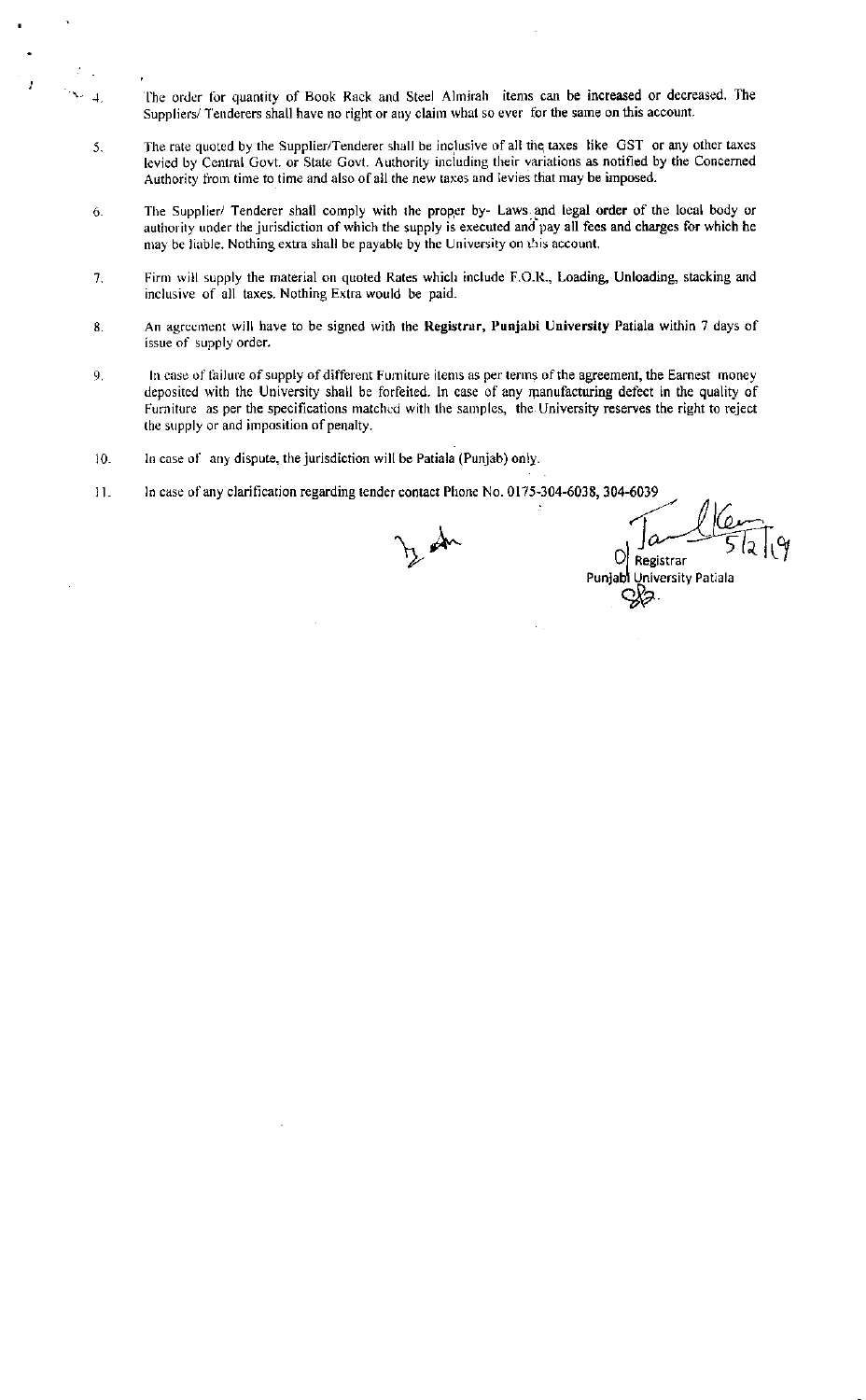- The order for quantity of Book Rack and Steel Almirah items can be increased or decreased. The Suppliers/ Tenderers shall have no right or any claim what so ever for the same on this account.
- The rate quoted by the Supplier/Tenderer shall be inclusive of all the taxes like GST or any other taxes 5. levied by Central Govt. or State Govt. Authority including their variations as notified by the Concerned Authority from time to time and also of all the new taxes and levies that may be imposed.
- 6. The Supplier/ Tenderer shall comply with the proper by- Laws and legal order of the local body or authority under the jurisdiction of which the supply is executed and pay all fees and charges for which he may be liable. Nothing extra shall be payable by the University on this account.
- Firm will supply the material on quoted Rates which include F.O.R., Loading, Unloading, stacking and 7. inclusive of all taxes. Nothing Extra would be paid.
- An agreement will have to be signed with the Registrar, Punjabi University Patiala within 7 days of 8. issue of supply order.
- In case of failure of supply of different Furniture items as per terms of the agreement, the Earnest money  $\mathbf{Q}$ deposited with the University shall be forfeited. In case of any manufacturing defect in the quality of Furniture as per the specifications matched with the samples, the University reserves the right to reject the supply or and imposition of penalty.
- In case of any dispute, the jurisdiction will be Patiala (Punjab) only.  $10.$

 $\overline{1}$ 

In case of any clarification regarding tender contact Phone No. 0175-304-6038, 304-6039  $11.$ 

tz an

Registrar

University Patiala Punjab